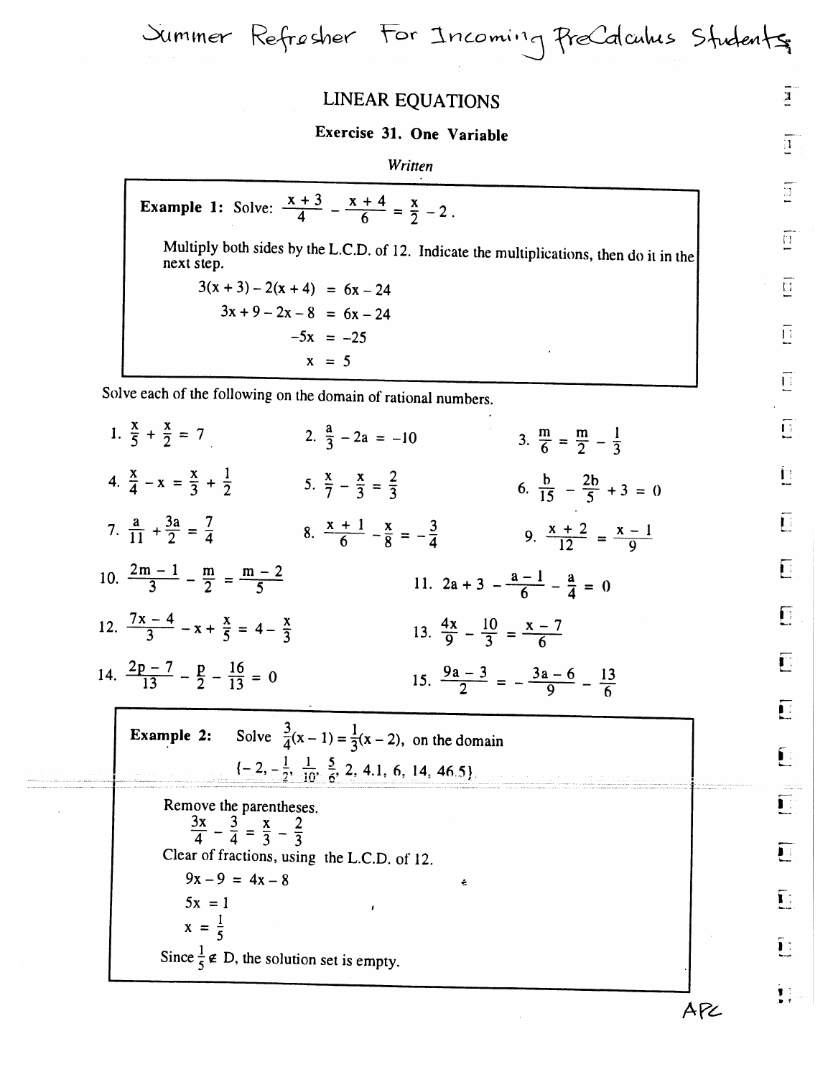LINEAR EQUATIONS

Summer Refresher For Incoming PreCalculus Students

## Exercise 31. One Variable

## Written

**Example 1:** Solve:  $\frac{x+3}{4} - \frac{x+4}{6} = \frac{x}{2} - 2$ . Multiply both sides by the L.C.D. of 12. Indicate the multiplications, then do it in the next step.  $3(x + 3) - 2(x + 4) = 6x - 24$  $3x + 9 - 2x - 8 = 6x - 24$  $-5x = -25$  $x = 5$ 

Solve each of the following on the domain of rational numbers.

| 1. $\frac{x}{5} + \frac{x}{2} = 7$                                                  | 2. $\frac{a}{3}$ - 2a = -10                                             |                                                       | 3. $\frac{m}{6} = \frac{m}{2} - \frac{1}{3}$ |  |
|-------------------------------------------------------------------------------------|-------------------------------------------------------------------------|-------------------------------------------------------|----------------------------------------------|--|
| 4. $\frac{X}{4} - X = \frac{X}{2} + \frac{1}{2}$                                    | 5. $\frac{x}{7} - \frac{x}{3} = \frac{2}{3}$                            |                                                       | 6. $\frac{b}{15} - \frac{2b}{5} + 3 = 0$     |  |
| 7. $\frac{a}{11} + \frac{3a}{2} = \frac{7}{4}$                                      | 8. $\frac{x+1}{6} - \frac{x}{8} = -\frac{3}{4}$                         |                                                       | 9. $\frac{x+2}{12} = \frac{x-1}{0}$          |  |
| 10. $\frac{2m-1}{3} - \frac{m}{2} = \frac{m-2}{5}$                                  |                                                                         | 11. $2a + 3 - \frac{a-1}{6} - \frac{a}{4} = 0$        |                                              |  |
| 12. $\frac{7x-4}{3} - x + \frac{x}{5} = 4 - \frac{x}{3}$                            |                                                                         | 13. $\frac{4x}{9} - \frac{10}{3} = \frac{x-7}{6}$     |                                              |  |
|                                                                                     |                                                                         |                                                       |                                              |  |
| 14. $\frac{2p-7}{13} - \frac{p}{2} - \frac{16}{13} = 0$                             |                                                                         | 15. $\frac{9a-3}{2} = -\frac{3a-6}{9} - \frac{13}{6}$ |                                              |  |
| <b>Example 2:</b> Solve $\frac{3}{4}(x-1) = \frac{1}{3}(x-2)$ , on the domain       |                                                                         |                                                       |                                              |  |
|                                                                                     | $\{-2, -\frac{1}{2}, \frac{1}{10}, \frac{5}{6}, 2, 4.1, 6, 14, 46.5\}.$ |                                                       |                                              |  |
| Remove the parentheses.<br>$\frac{3x}{4} - \frac{3}{4} = \frac{x}{3} - \frac{2}{3}$ |                                                                         |                                                       |                                              |  |
| $9x - 9 = 4x - 8$                                                                   | Clear of fractions, using the L.C.D. of 12.                             | ÷                                                     |                                              |  |
| $5x = 1$<br>$x = \frac{1}{5}$                                                       |                                                                         |                                                       |                                              |  |

 $\overline{\mathbf{a}}$  $\overline{1}$  $\overline{\Xi}$  $\overline{\mathbb{H}}$  $\overline{\Xi}$  $\overline{\Box}$  $\overline{\Box}$  $\overline{\mathbf{D}}$ Ë  $\overline{\mathbf{E}}$  $\overline{\Gamma}$ **同**  $\overline{\Gamma}$  $\overline{\mathbf{U}}$  $\tilde{\mathbb{L}}$ E E E

Ē

∲3.

APL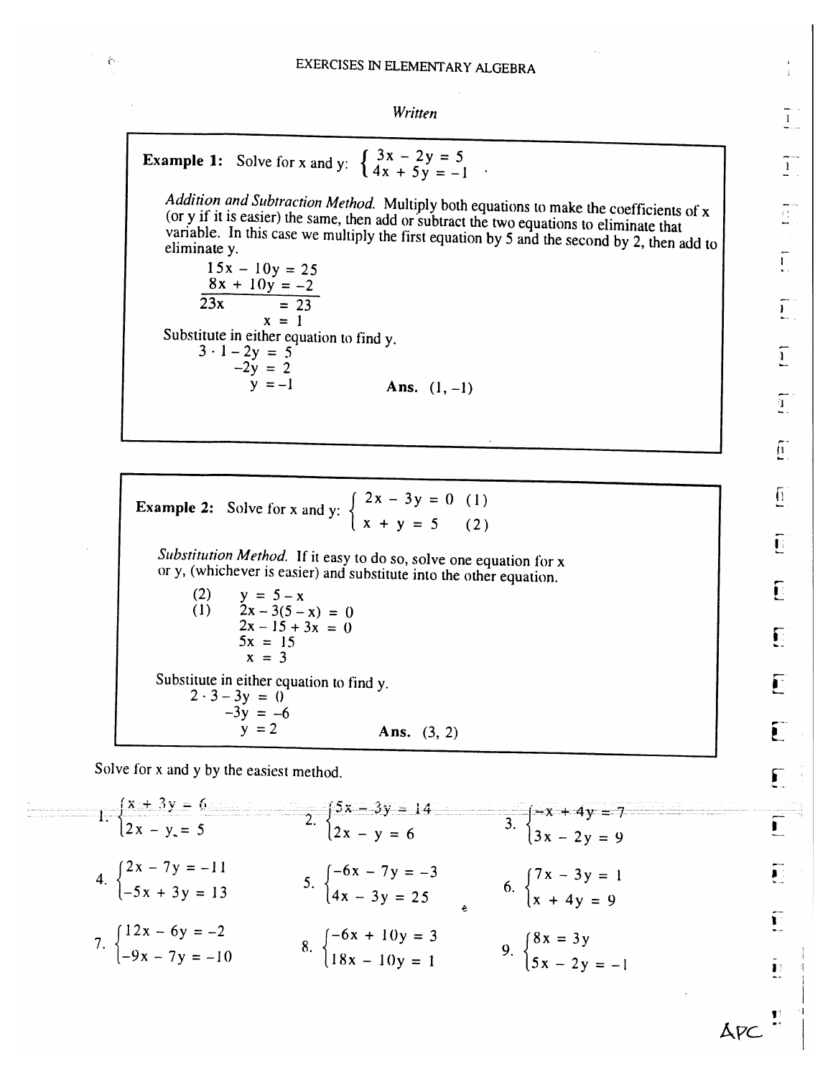Written

**Example 1:** Solve for x and y: 
$$
\begin{cases} 3x - 2y = 5 \\ 4x + 5y = -1 \end{cases}
$$
.

 $\hat{C}$ 

Addition and Subtraction Method. Multiply both equations to make the coefficients of x (or y if it is easier) the same, then add or subtract the two equations to eliminate that variable. In this case we multiply the first equation by 5 and the second by 2, then add to eliminate y.

 $15x - 10y = 25$  $8x + 10y = -2$  $23x$  $= 23$  $x = 1$ Substitute in either equation to find y.  $3 \cdot 1 - 2y = 5$  $-2y = 2$ Ans.  $(1, -1)$  $y = -1$ 

**Example 2:** Solve for x and y:  $\begin{cases} 2x - 3y = 0 & (1) \\ x + y = 5 & (2) \end{cases}$  $(2)$ Substitution Method. If it easy to do so, solve one equation for x or y, (whichever is easier) and substitute into the other equation.  $(2)$  $y = 5 - x$ 

 $2x-3(5-x) = 0$  $(1)$  $2x - 15 + 3x = 0$  $5x = 15$  $x = 3$ Substitute in either equation to find y.  $2 \cdot 3 - 3y = 0$  $-3y = -6$  $y = 2$ Ans.  $(3, 2)$ 

Solve for x and y by the easiest method.

| 1. $\frac{x+3y}{2x - y} = \frac{6}{5}$                         | 2. $\frac{5x - 3y}{2x - y} = 14$                              | 3. $\frac{-x + 4y}{3x - 2y} = 9$                         |
|----------------------------------------------------------------|---------------------------------------------------------------|----------------------------------------------------------|
| 4. $\begin{cases} 2x - 7y = -11 \\ -5x + 3y = 13 \end{cases}$  | 5. $\begin{cases} -6x - 7y = -3 \\ 4x - 3y = 25 \end{cases}$  | 6. $\begin{cases} 7x - 3y = 1 \\ x + 4y = 9 \end{cases}$ |
| 7. $\begin{cases} 12x - 6y = -2 \\ -9x - 7y = -10 \end{cases}$ | 8. $\begin{cases} -6x + 10y = 3 \\ 18x - 10y = 1 \end{cases}$ | 9. $\begin{cases} 8x = 3y \\ 5x - 2y = -1 \end{cases}$   |

îф.  $\frac{1}{2}$  $\overline{1}$  $\frac{1}{2}$  $\overline{\Gamma}$  $\prod_{i=1}^{n-1}$  $\overline{1}$  $\overline{1}$  $\widetilde{\mathbb{E}}$  $\sqrt{1}$ Ē Ē Ε 戸

 $\mathbf{I}$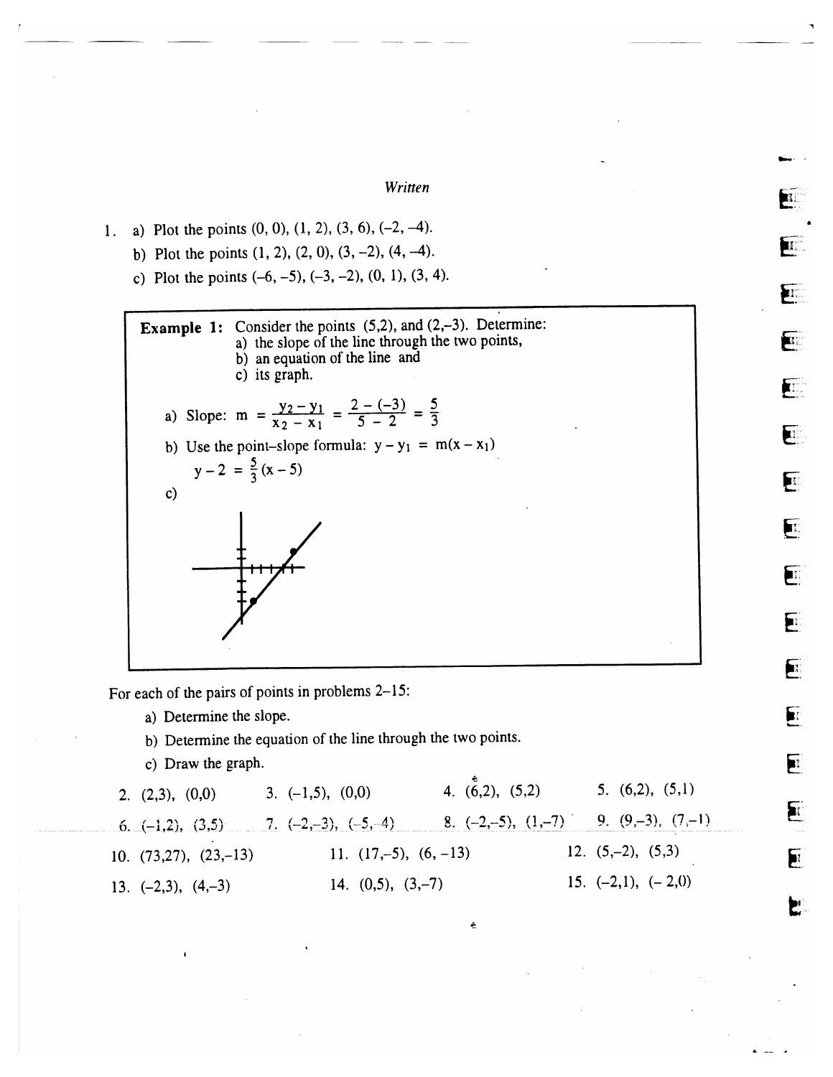Written

}rr.

F

E

E

 $\mathbf{F}$ 

E

EFFE

**F** 

E

El E.<br>E.

 $\mathbf{F}$ 

E

E

EFFE

E

P

1. a) Plot the points  $(0, 0)$ ,  $(1, 2)$ ,  $(3, 6)$ ,  $(-2, -4)$ . 1. a) Plot the points  $(0, 0)$ ,  $(1, 2)$ ,  $(3, 6)$ ,  $(-2, -4)$ .<br>b) Plot the points  $(1, 2)$ ,  $(2, 0)$ ,  $(3, -2)$ ,  $(4, -4)$ .

- 
- c) Plot the points  $(-6, -5)$ ,  $(-3, -2)$ ,  $(0, 1)$ ,  $(3, 4)$ .



For each of the pairs of points in problems 2-15:

- a) Determine the slope.
- b) Determine the equation of the line through the two points.
- c) Draw the graph.

| 2. $(2,3)$ , $(0,0)$       | 3. $(-1,5)$ , $(0,0)$                                                                         | 4. $(6,2)$ , $(5,2)$ | 5. $(6,2)$ , $(5,1)$    |
|----------------------------|-----------------------------------------------------------------------------------------------|----------------------|-------------------------|
|                            | 6. $(-1,2)$ , $(3,5)$ 7. $(-2,-3)$ , $(-5,-4)$ 8. $(-2,-5)$ , $(1,-7)$ 9. $(9,-3)$ , $(7,-1)$ |                      |                         |
| 10. $(73,27)$ , $(23,-13)$ | 11. $(17,-5)$ , $(6, -13)$                                                                    |                      | 12. $(5,-2)$ , $(5,3)$  |
| 13. $(-2,3)$ , $(4,-3)$    | 14. $(0,5)$ , $(3,-7)$                                                                        |                      | 15. $(-2,1)$ , $(-2,0)$ |